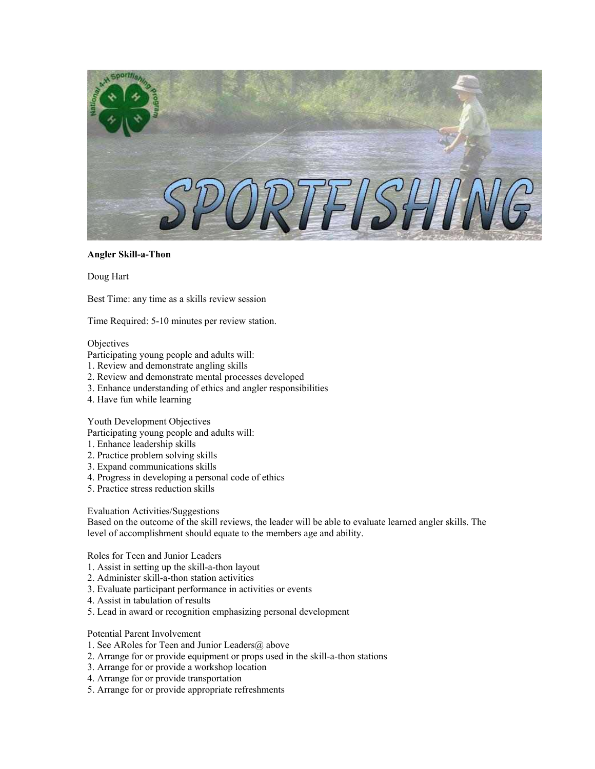

## **Angler Skill-a-Thon**

Doug Hart

Best Time: any time as a skills review session

Time Required: 5-10 minutes per review station.

### **Objectives**

Participating young people and adults will:

- 1. Review and demonstrate angling skills
- 2. Review and demonstrate mental processes developed
- 3. Enhance understanding of ethics and angler responsibilities
- 4. Have fun while learning

### Youth Development Objectives

Participating young people and adults will:

- 1. Enhance leadership skills
- 2. Practice problem solving skills
- 3. Expand communications skills
- 4. Progress in developing a personal code of ethics
- 5. Practice stress reduction skills

### Evaluation Activities/Suggestions

Based on the outcome of the skill reviews, the leader will be able to evaluate learned angler skills. The level of accomplishment should equate to the members age and ability.

Roles for Teen and Junior Leaders

- 1. Assist in setting up the skill-a-thon layout
- 2. Administer skill-a-thon station activities
- 3. Evaluate participant performance in activities or events
- 4. Assist in tabulation of results
- 5. Lead in award or recognition emphasizing personal development

## Potential Parent Involvement

- 1. See ARoles for Teen and Junior Leaders $@$  above
- 2. Arrange for or provide equipment or props used in the skill-a-thon stations
- 3. Arrange for or provide a workshop location
- 4. Arrange for or provide transportation
- 5. Arrange for or provide appropriate refreshments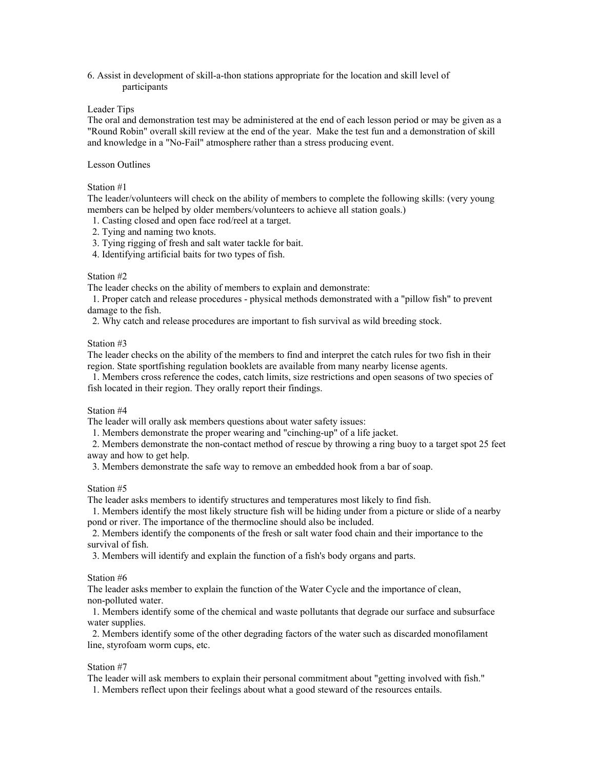6. Assist in development of skill-a-thon stations appropriate for the location and skill level of participants

### Leader Tips

The oral and demonstration test may be administered at the end of each lesson period or may be given as a "Round Robin" overall skill review at the end of the year. Make the test fun and a demonstration of skill and knowledge in a "No-Fail" atmosphere rather than a stress producing event.

## Lesson Outlines

## Station #1

The leader/volunteers will check on the ability of members to complete the following skills: (very young members can be helped by older members/volunteers to achieve all station goals.)

- 1. Casting closed and open face rod/reel at a target.
- 2. Tying and naming two knots.
- 3. Tying rigging of fresh and salt water tackle for bait.
- 4. Identifying artificial baits for two types of fish.

#### Station #2

The leader checks on the ability of members to explain and demonstrate:

 1. Proper catch and release procedures - physical methods demonstrated with a "pillow fish" to prevent damage to the fish.

2. Why catch and release procedures are important to fish survival as wild breeding stock.

#### Station #3

The leader checks on the ability of the members to find and interpret the catch rules for two fish in their region. State sportfishing regulation booklets are available from many nearby license agents.

 1. Members cross reference the codes, catch limits, size restrictions and open seasons of two species of fish located in their region. They orally report their findings.

## Station #4

The leader will orally ask members questions about water safety issues:

1. Members demonstrate the proper wearing and "cinching-up" of a life jacket.

 2. Members demonstrate the non-contact method of rescue by throwing a ring buoy to a target spot 25 feet away and how to get help.

3. Members demonstrate the safe way to remove an embedded hook from a bar of soap.

#### Station #5

The leader asks members to identify structures and temperatures most likely to find fish.

 1. Members identify the most likely structure fish will be hiding under from a picture or slide of a nearby pond or river. The importance of the thermocline should also be included.

 2. Members identify the components of the fresh or salt water food chain and their importance to the survival of fish.

3. Members will identify and explain the function of a fish's body organs and parts.

# Station #6

The leader asks member to explain the function of the Water Cycle and the importance of clean, non-polluted water.

 1. Members identify some of the chemical and waste pollutants that degrade our surface and subsurface water supplies.

 2. Members identify some of the other degrading factors of the water such as discarded monofilament line, styrofoam worm cups, etc.

# Station #7

The leader will ask members to explain their personal commitment about "getting involved with fish."

1. Members reflect upon their feelings about what a good steward of the resources entails.